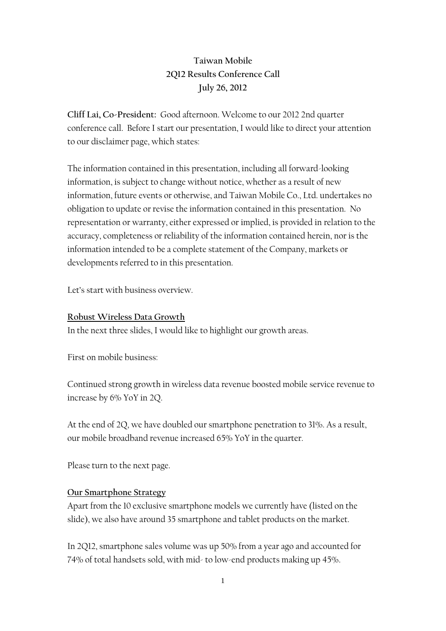# **Taiwan Mobile 2Q12 Results Conference Call July 26, 2012**

**Cliff Lai, Co-President:** Good afternoon. Welcome to our 2012 2nd quarter conference call. Before I start our presentation, I would like to direct your attention to our disclaimer page, which states:

The information contained in this presentation, including all forward-looking information, is subject to change without notice, whether as a result of new information, future events or otherwise, and Taiwan Mobile Co., Ltd. undertakes no obligation to update or revise the information contained in this presentation. No representation or warranty, either expressed or implied, is provided in relation to the accuracy, completeness or reliability of the information contained herein, nor is the information intended to be a complete statement of the Company, markets or developments referred to in this presentation.

Let's start with business overview.

#### **Robust Wireless Data Growth**

In the next three slides, I would like to highlight our growth areas.

First on mobile business:

Continued strong growth in wireless data revenue boosted mobile service revenue to increase by 6% YoY in 2Q.

At the end of 2Q, we have doubled our smartphone penetration to 31%. As a result, our mobile broadband revenue increased 65% YoY in the quarter.

Please turn to the next page.

### **Our Smartphone Strategy**

Apart from the 10 exclusive smartphone models we currently have (listed on the slide), we also have around 35 smartphone and tablet products on the market.

In 2Q12, smartphone sales volume was up 50% from a year ago and accounted for 74% of total handsets sold, with mid- to low-end products making up 45%.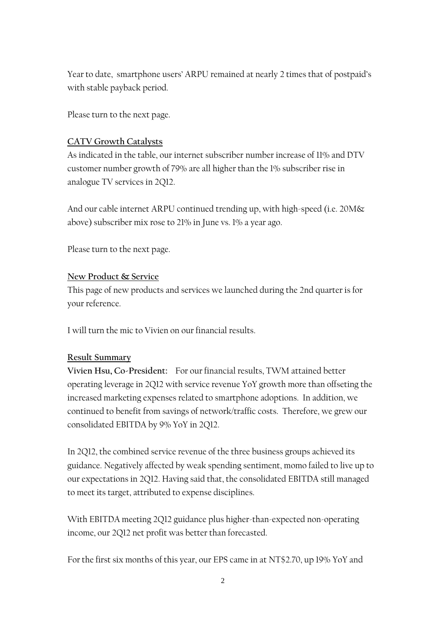Year to date, smartphone users' ARPU remained at nearly 2 times that of postpaid's with stable payback period.

Please turn to the next page.

### **CATV Growth Catalysts**

As indicated in the table, our internet subscriber number increase of 11% and DTV customer number growth of 79% are all higher than the 1% subscriber rise in analogue TV services in 2Q12.

And our cable internet ARPU continued trending up, with high-speed (i.e. 20M& above) subscriber mix rose to 21% in June vs. 1% a year ago.

Please turn to the next page.

#### **New Product & Service**

This page of new products and services we launched during the 2nd quarter is for your reference.

I will turn the mic to Vivien on our financial results.

#### **Result Summary**

**Vivien Hsu, Co-President:** For our financial results, TWM attained better operating leverage in 2Q12 with service revenue YoY growth more than offseting the increased marketing expenses related to smartphone adoptions. In addition, we continued to benefit from savings of network/traffic costs. Therefore, we grew our consolidated EBITDA by 9% YoY in 2Q12.

In 2Q12, the combined service revenue of the three business groups achieved its guidance. Negatively affected by weak spending sentiment, momo failed to live up to our expectations in 2Q12. Having said that, the consolidated EBITDA still managed to meet its target, attributed to expense disciplines.

With EBITDA meeting 2Q12 guidance plus higher-than-expected non-operating income, our 2Q12 net profit was better than forecasted.

For the first six months of this year, our EPS came in at NT\$2.70, up 19% YoY and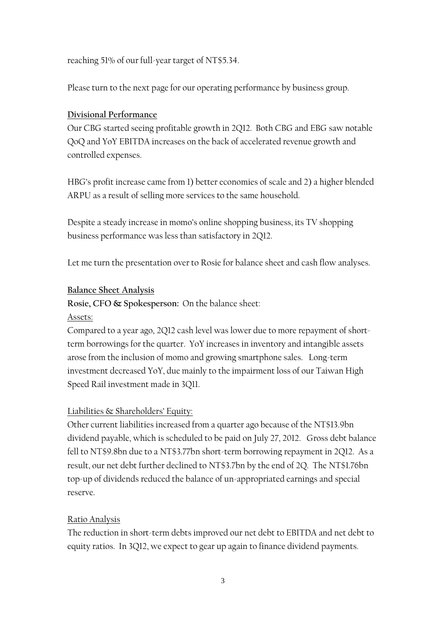reaching 51% of our full-year target of NT\$5.34.

Please turn to the next page for our operating performance by business group.

#### **Divisional Performance**

Our CBG started seeing profitable growth in 2Q12. Both CBG and EBG saw notable QoQ and YoY EBITDA increases on the back of accelerated revenue growth and controlled expenses.

HBG's profit increase came from 1) better economies of scale and 2) a higher blended ARPU as a result of selling more services to the same household.

Despite a steady increase in momo's online shopping business, its TV shopping business performance was less than satisfactory in 2Q12.

Let me turn the presentation over to Rosie for balance sheet and cash flow analyses.

#### **Balance Sheet Analysis**

**Rosie, CFO & Spokesperson:** On the balance sheet:

#### Assets:

Compared to a year ago, 2Q12 cash level was lower due to more repayment of shortterm borrowings for the quarter. YoY increases in inventory and intangible assets arose from the inclusion of momo and growing smartphone sales. Long-term investment decreased YoY, due mainly to the impairment loss of our Taiwan High Speed Rail investment made in 3Q11.

#### Liabilities & Shareholders' Equity:

Other current liabilities increased from a quarter ago because of the NT\$13.9bn dividend payable, which is scheduled to be paid on July 27, 2012. Gross debt balance fell to NT\$9.8bn due to a NT\$3.77bn short-term borrowing repayment in 2Q12. As a result, our net debt further declined to NT\$3.7bn by the end of 2Q. The NT\$1.76bn top-up of dividends reduced the balance of un-appropriated earnings and special reserve.

#### Ratio Analysis

The reduction in short-term debts improved our net debt to EBITDA and net debt to equity ratios. In 3Q12, we expect to gear up again to finance dividend payments.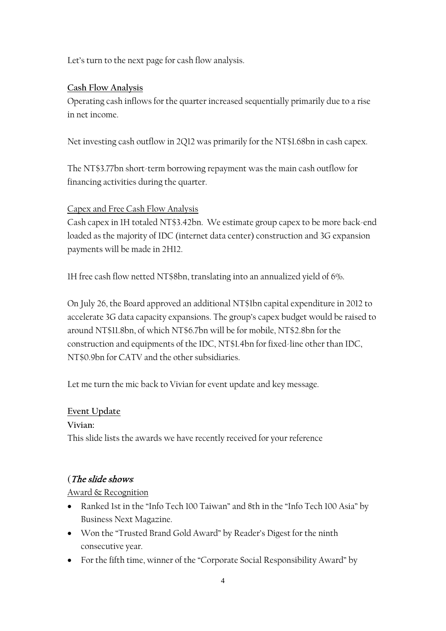Let's turn to the next page for cash flow analysis.

# **Cash Flow Analysis**

Operating cash inflows for the quarter increased sequentially primarily due to a rise in net income.

Net investing cash outflow in 2Q12 was primarily for the NT\$1.68bn in cash capex.

The NT\$3.77bn short-term borrowing repayment was the main cash outflow for financing activities during the quarter.

# Capex and Free Cash Flow Analysis

Cash capex in 1H totaled NT\$3.42bn. We estimate group capex to be more back-end loaded as the majority of IDC (internet data center) construction and 3G expansion payments will be made in 2H12.

1H free cash flow netted NT\$8bn, translating into an annualized yield of 6%.

On July 26, the Board approved an additional NT\$1bn capital expenditure in 2012 to accelerate 3G data capacity expansions. The group's capex budget would be raised to around NT\$11.8bn, of which NT\$6.7bn will be for mobile, NT\$2.8bn for the construction and equipments of the IDC, NT\$1.4bn for fixed-line other than IDC, NT\$0.9bn for CATV and the other subsidiaries.

Let me turn the mic back to Vivian for event update and key message.

### **Event Update**

**Vivian:**

This slide lists the awards we have recently received for your reference

# (The slide shows*:*

### Award & Recognition

- Ranked 1st in the "Info Tech 100 Taiwan" and 8th in the "Info Tech 100 Asia" by Business Next Magazine.
- Won the "Trusted Brand Gold Award" by Reader's Digest for the ninth consecutive year.
- For the fifth time, winner of the "Corporate Social Responsibility Award" by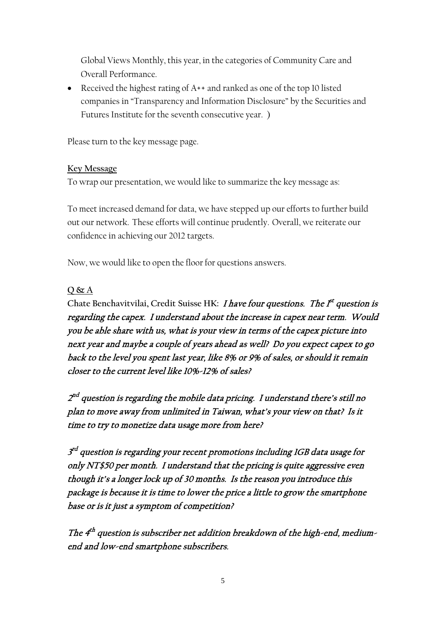Global Views Monthly, this year, in the categories of Community Care and Overall Performance.

• Received the highest rating of A++ and ranked as one of the top 10 listed companies in "Transparency and Information Disclosure" by the Securities and Futures Institute for the seventh consecutive year. )

Please turn to the key message page.

#### **Key Message**

To wrap our presentation, we would like to summarize the key message as:

To meet increased demand for data, we have stepped up our efforts to further build out our network. These efforts will continue prudently. Overall, we reiterate our confidence in achieving our 2012 targets.

Now, we would like to open the floor for questions answers.

# **Q & A**

Chate Benchavitvilai, Credit Suisse HK: *I have four questions. The f<sup>t</sup> question is* regarding the capex. I understand about the increase in capex near term. Would you be able share with us, what is your view in terms of the capex picture into next year and maybe a couple of years ahead as well? Do you expect capex to go back to the level you spent last year, like 8% or 9% of sales, or should it remain closer to the current level like 10%-12% of sales?

2<sup>nd</sup> question is regarding the mobile data pricing. I understand there's still no plan to move away from unlimited in Taiwan, what's your view on that? Is it time to try to monetize data usage more from here?

3<sup>rd</sup> question is regarding your recent promotions including 1GB data usage for only NT\$50 per month. I understand that the pricing is quite aggressive even though it's a longer lock up of 30 months. Is the reason you introduce this package is because it is time to lower the price a little to grow the smartphone base or is it just a symptom of competition?

The  $4<sup>th</sup>$  question is subscriber net addition breakdown of the high-end, mediumend and low-end smartphone subscribers.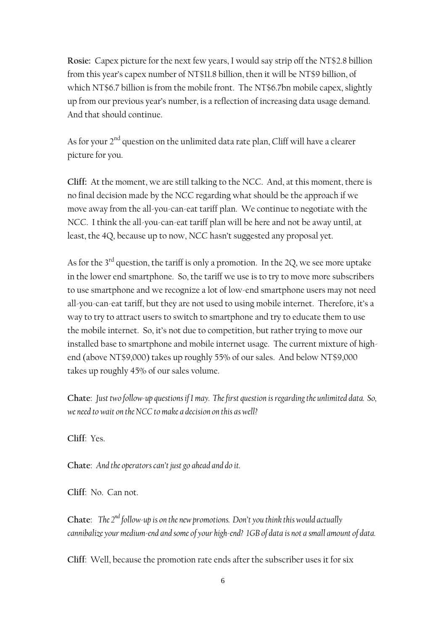**Rosie:** Capex picture for the next few years, I would say strip off the NT\$2.8 billion from this year's capex number of NT\$11.8 billion, then it will be NT\$9 billion, of which NT\$6.7 billion is from the mobile front. The NT\$6.7bn mobile capex, slightly up from our previous year's number, is a reflection of increasing data usage demand. And that should continue.

As for your  $2<sup>nd</sup>$  question on the unlimited data rate plan, Cliff will have a clearer picture for you.

**Cliff:** At the moment, we are still talking to the NCC. And, at this moment, there is no final decision made by the NCC regarding what should be the approach if we move away from the all-you-can-eat tariff plan. We continue to negotiate with the NCC. I think the all-you-can-eat tariff plan will be here and not be away until, at least, the 4Q, because up to now, NCC hasn't suggested any proposal yet.

As for the  $3<sup>rd</sup>$  question, the tariff is only a promotion. In the 2Q, we see more uptake in the lower end smartphone. So, the tariff we use is to try to move more subscribers to use smartphone and we recognize a lot of low-end smartphone users may not need all-you-can-eat tariff, but they are not used to using mobile internet. Therefore, it's a way to try to attract users to switch to smartphone and try to educate them to use the mobile internet. So, it's not due to competition, but rather trying to move our installed base to smartphone and mobile internet usage. The current mixture of highend (above NT\$9,000) takes up roughly 55% of our sales. And below NT\$9,000 takes up roughly 45% of our sales volume.

**Chate**: *Just two follow-up questions if I may. The first question is regarding the unlimited data. So, we need to wait on the NCC to make a decision on this as well?*

**Cliff**: Yes.

**Chate**: *And the operators can't just go ahead and do it.*

**Cliff**: No. Can not.

**Chate**: *The 2nd follow-up is on the new promotions. Don't you think this would actually cannibalize your medium-end and some of your high-end? 1GB of data is not a small amount of data.*

**Cliff**: Well, because the promotion rate ends after the subscriber uses it for six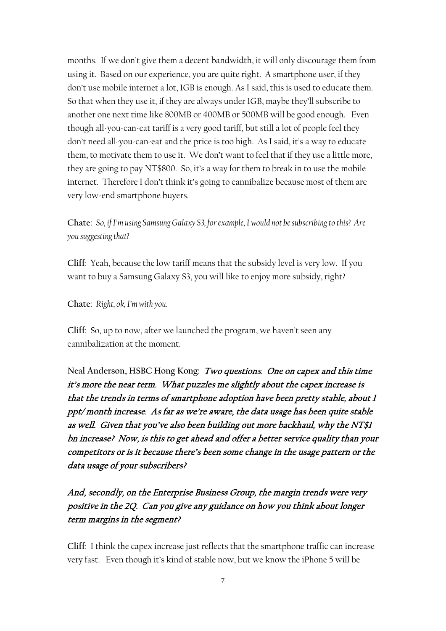months. If we don't give them a decent bandwidth, it will only discourage them from using it. Based on our experience, you are quite right. A smartphone user, if they don't use mobile internet a lot, 1GB is enough. As I said, this is used to educate them. So that when they use it, if they are always under 1GB, maybe they'll subscribe to another one next time like 800MB or 400MB or 500MB will be good enough. Even though all-you-can-eat tariff is a very good tariff, but still a lot of people feel they don't need all-you-can-eat and the price is too high. As I said, it's a way to educate them, to motivate them to use it. We don't want to feel that if they use a little more, they are going to pay NT\$800. So, it's a way for them to break in to use the mobile internet. Therefore I don't think it's going to cannibalize because most of them are very low-end smartphone buyers.

**Chate**: *So, if I'm using Samsung Galaxy S3, for example, I would not be subscribing to this? Are you suggesting that?*

**Cliff**: Yeah, because the low tariff means that the subsidy level is very low. If you want to buy a Samsung Galaxy S3, you will like to enjoy more subsidy, right?

**Chate**: *Right, ok, I'm with you.*

**Cliff**: So, up to now, after we launched the program, we haven't seen any cannibalization at the moment.

**Neal Anderson, HSBC Hong Kong:** Two questions. One on capex and this time it's more the near term. What puzzles me slightly about the capex increase is that the trends in terms of smartphone adoption have been pretty stable, about 1 ppt/ month increase. As far as we're aware, the data usage has been quite stable as well. Given that you've also been building out more backhaul, why the NT\$1 bn increase? Now, is this to get ahead and offer a better service quality than your competitors or is it because there's been some change in the usage pattern or the data usage of your subscribers?

And, secondly, on the Enterprise Business Group, the margin trends were very positive in the 2Q. Can you give any guidance on how you think about longer term margins in the segment?

**Cliff**: I think the capex increase just reflects that the smartphone traffic can increase very fast. Even though it's kind of stable now, but we know the iPhone 5 will be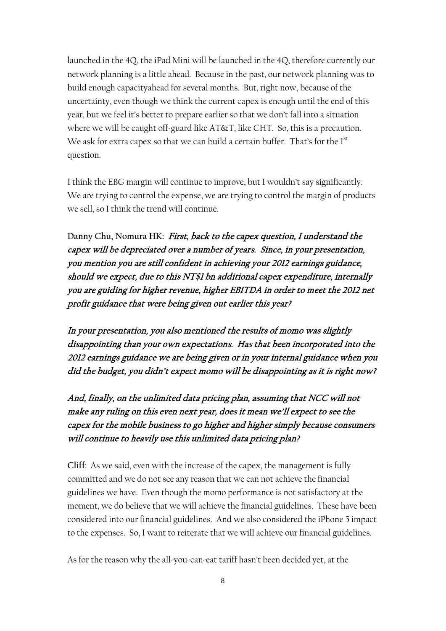launched in the 4Q, the iPad Mini will be launched in the 4Q, therefore currently our network planning is a little ahead. Because in the past, our network planning was to build enough capacityahead for several months. But, right now, because of the uncertainty, even though we think the current capex is enough until the end of this year, but we feel it's better to prepare earlier so that we don't fall into a situation where we will be caught off-guard like AT&T, like CHT. So, this is a precaution. We ask for extra capex so that we can build a certain buffer. That's for the  $1<sup>st</sup>$ question.

I think the EBG margin will continue to improve, but I wouldn't say significantly. We are trying to control the expense, we are trying to control the margin of products we sell, so I think the trend will continue.

**Danny Chu, Nomura HK:** First, back to the capex question, I understand the capex will be depreciated over a number of years. Since, in your presentation, you mention you are still confident in achieving your 2012 earnings guidance, should we expect, due to this NT\$1 bn additional capex expenditure, internally you are guiding for higher revenue, higher EBITDA in order to meet the 2012 net profit guidance that were being given out earlier this year?

In your presentation, you also mentioned the results of momo was slightly disappointing than your own expectations. Has that been incorporated into the 2012 earnings guidance we are being given or in your internal guidance when you did the budget, you didn't expect momo will be disappointing as it is right now?

And, finally, on the unlimited data pricing plan, assuming that NCC will not make any ruling on this even next year, does it mean we'll expect to see the capex for the mobile business to go higher and higher simply because consumers will continue to heavily use this unlimited data pricing plan?

**Cliff**: As we said, even with the increase of the capex, the management is fully committed and we do not see any reason that we can not achieve the financial guidelines we have. Even though the momo performance is not satisfactory at the moment, we do believe that we will achieve the financial guidelines. These have been considered into our financial guidelines. And we also considered the iPhone 5 impact to the expenses. So, I want to reiterate that we will achieve our financial guidelines.

As for the reason why the all-you-can-eat tariff hasn't been decided yet, at the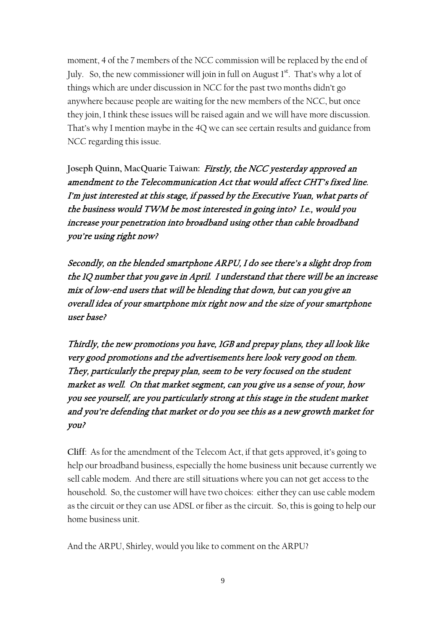moment, 4 of the 7 members of the NCC commission will be replaced by the end of July. So, the new commissioner will join in full on August  $I<sup>st</sup>$ . That's why a lot of things which are under discussion in NCC for the past two months didn't go anywhere because people are waiting for the new members of the NCC, but once they join, I think these issues will be raised again and we will have more discussion. That's why I mention maybe in the 4Q we can see certain results and guidance from NCC regarding this issue.

**Joseph Quinn, MacQuarie Taiwan:** Firstly, the NCC yesterday approved an amendment to the Telecommunication Act that would affect CHT's fixed line. I'm just interested at this stage, if passed by the Executive Yuan, what parts of the business would TWM be most interested in going into? I.e., would you increase your penetration into broadband using other than cable broadband you're using right now?

Secondly, on the blended smartphone ARPU, I do see there's a slight drop from the 1Q number that you gave in April. I understand that there will be an increase mix of low-end users that will be blending that down, but can you give an overall idea of your smartphone mix right now and the size of your smartphone user base?

Thirdly, the new promotions you have, 1GB and prepay plans, they all look like very good promotions and the advertisements here look very good on them. They, particularly the prepay plan, seem to be very focused on the student market as well. On that market segment, can you give us a sense of your, how you see yourself, are you particularly strong at this stage in the student market and you're defending that market or do you see this as a new growth market for you?

**Cliff**: As for the amendment of the Telecom Act, if that gets approved, it's going to help our broadband business, especially the home business unit because currently we sell cable modem. And there are still situations where you can not get access to the household. So, the customer will have two choices: either they can use cable modem as the circuit or they can use ADSL or fiber as the circuit. So, this is going to help our home business unit.

And the ARPU, Shirley, would you like to comment on the ARPU?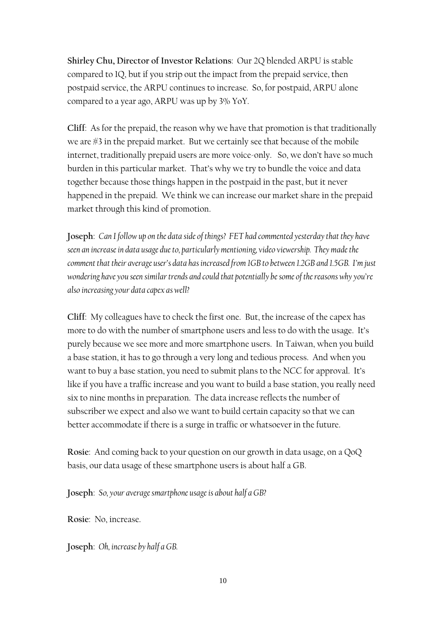**Shirley Chu, Director of Investor Relations**: Our 2Q blended ARPU is stable compared to 1Q, but if you strip out the impact from the prepaid service, then postpaid service, the ARPU continues to increase. So, for postpaid, ARPU alone compared to a year ago, ARPU was up by 3% YoY.

**Cliff**: As for the prepaid, the reason why we have that promotion is that traditionally we are #3 in the prepaid market. But we certainly see that because of the mobile internet, traditionally prepaid users are more voice-only. So, we don't have so much burden in this particular market. That's why we try to bundle the voice and data together because those things happen in the postpaid in the past, but it never happened in the prepaid. We think we can increase our market share in the prepaid market through this kind of promotion.

**Joseph**: *Can I follow up on the data side of things? FET had commented yesterday that they have seen an increase in data usage due to, particularly mentioning, video viewership. They made the comment that their average user's data has increased from 1GB to between 1.2GB and 1.5GB. I'm just wondering have you seen similar trends and could that potentially be some of thereasons why you're also increasing your data capex as well?*

**Cliff**: My colleagues have to check the first one. But, the increase of the capex has more to do with the number of smartphone users and less to do with the usage. It's purely because we see more and more smartphone users. In Taiwan, when you build a base station, it has to go through a very long and tedious process. And when you want to buy a base station, you need to submit plans to the NCC for approval. It's like if you have a traffic increase and you want to build a base station, you really need six to nine months in preparation. The data increase reflects the number of subscriber we expect and also we want to build certain capacity so that we can better accommodate if there is a surge in traffic or whatsoever in the future.

**Rosie**: And coming back to your question on our growth in data usage, on a QoQ basis, our data usage of these smartphone users is about half a GB.

**Joseph**: *So, your average smartphone usage is about half a GB?*

**Rosie**: No, increase.

**Joseph**: *Oh, increase by half a GB.*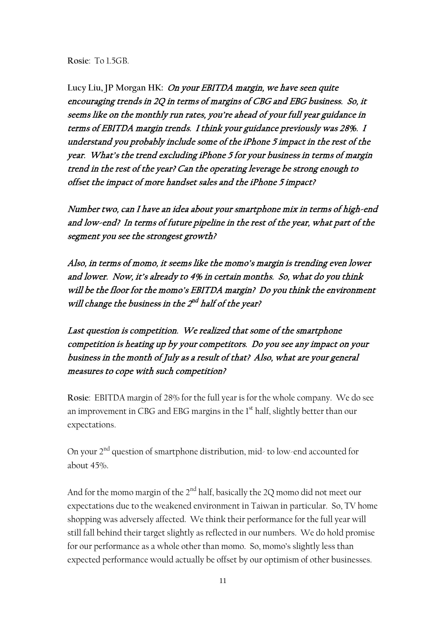**Rosie**: To 1.5GB.

**Lucy Liu, JP Morgan HK:** On your EBITDA margin, we have seen quite encouraging trends in 2Q in terms of margins of CBG and EBG business. So, it seems like on the monthly run rates, you're ahead of your full year guidance in terms of EBITDA margin trends. I think your guidance previously was 28%. I understand you probably include some of the iPhone 5 impact in the rest of the year. What's the trend excluding iPhone 5 for your business in terms of margin trend in the rest of the year? Can the operating leverage be strong enough to offset the impact of more handset sales and the iPhone 5 impact?

Number two, can I have an idea about your smartphone mix in terms of high-end and low-end? In terms of future pipeline in the rest of the year, what part of the segment you see the strongest growth?

Also, in terms of momo, it seems like the momo's margin is trending even lower and lower. Now, it's already to 4% in certain months. So, what do you think will be the floor for the momo's EBITDA margin? Do you think the environment will change the business in the  $2^{nd}$  half of the year?

Last question is competition. We realized that some of the smartphone competition is heating up by your competitors. Do you see any impact on your business in the month of July as a result of that? Also, what are your general measures to cope with such competition?

**Rosie**: EBITDA margin of 28% for the full year is for the whole company. We do see an improvement in CBG and EBG margins in the 1<sup>st</sup> half, slightly better than our expectations.

On your 2<sup>nd</sup> question of smartphone distribution, mid- to low-end accounted for about 45%.

And for the momo margin of the  $2<sup>nd</sup>$  half, basically the 2Q momo did not meet our expectations due to the weakened environment in Taiwan in particular. So, TV home shopping was adversely affected. We think their performance for the full year will still fall behind their target slightly as reflected in our numbers. We do hold promise for our performance as a whole other than momo. So, momo's slightly less than expected performance would actually be offset by our optimism of other businesses.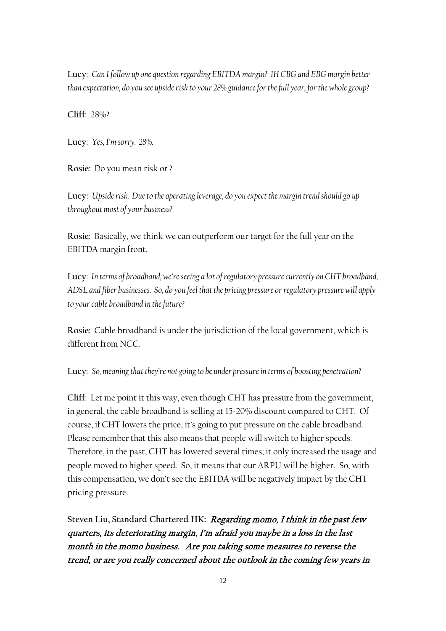**Lucy**: *Can I follow up one question regarding EBITDA margin? 1H CBG and EBG margin better than expectation, do you see upside risk to your 28% guidance for the full year, for the whole group?*

**Cliff**: 28%?

**Lucy**: *Yes, I'm sorry. 28%.* 

**Rosie**: Do you mean risk or ?

**Lucy:** *Upside risk. Due to the operating leverage, do you expect the margin trend should go up throughout most of your business?*

**Rosie**: Basically, we think we can outperform our target for the full year on the EBITDA margin front.

**Lucy**: *In terms of broadband, we're seeing a lot of regulatory pressure currently on CHT broadband, ADSL and fiber businesses. So, do you feel that the pricing pressure or regulatory pressure will apply to your cable broadband in the future?* 

**Rosie**: Cable broadband is under the jurisdiction of the local government, which is different from NCC.

**Lucy**: *So, meaning that they're not going to be under pressure in terms of boosting penetration?*

**Cliff**: Let me point it this way, even though CHT has pressure from the government, in general, the cable broadband is selling at 15-20% discount compared to CHT. Of course, if CHT lowers the price, it's going to put pressure on the cable broadband. Please remember that this also means that people will switch to higher speeds. Therefore, in the past, CHT has lowered several times; it only increased the usage and people moved to higher speed. So, it means that our ARPU will be higher. So, with this compensation, we don't see the EBITDA will be negatively impact by the CHT pricing pressure.

**Steven Liu, Standard Chartered HK:** Regarding momo, I think in the past few quarters, its deteriorating margin, I'm afraid you maybe in a loss in the last month in the momo business. Are you taking some measures to reverse the trend, or are you really concerned about the outlook in the coming few years in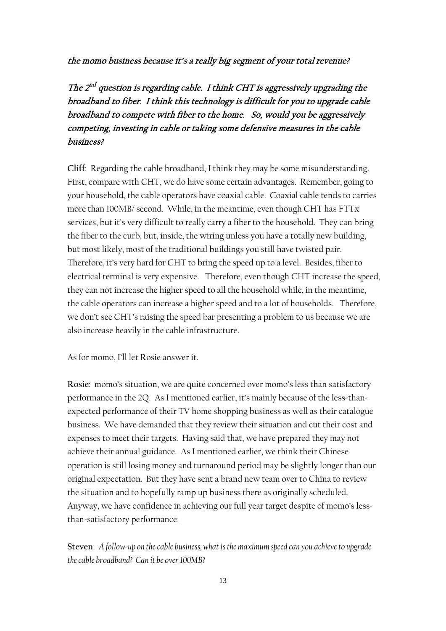the momo business because it's a really big segment of your total revenue?

The  $2^{nd}$  question is regarding cable. I think CHT is aggressively upgrading the broadband to fiber. I think this technology is difficult for you to upgrade cable broadband to compete with fiber to the home. So, would you be aggressively competing, investing in cable or taking some defensive measures in the cable business?

**Cliff**: Regarding the cable broadband, I think they may be some misunderstanding. First, compare with CHT, we do have some certain advantages. Remember, going to your household, the cable operators have coaxial cable. Coaxial cable tends to carries more than 100MB/ second. While, in the meantime, even though CHT has FTTx services, but it's very difficult to really carry a fiber to the household. They can bring the fiber to the curb, but, inside, the wiring unless you have a totally new building, but most likely, most of the traditional buildings you still have twisted pair. Therefore, it's very hard for CHT to bring the speed up to a level. Besides, fiber to electrical terminal is very expensive. Therefore, even though CHT increase the speed, they can not increase the higher speed to all the household while, in the meantime, the cable operators can increase a higher speed and to a lot of households. Therefore, we don't see CHT's raising the speed bar presenting a problem to us because we are also increase heavily in the cable infrastructure.

As for momo, I'll let Rosie answer it.

**Rosie**: momo's situation, we are quite concerned over momo's less than satisfactory performance in the 2Q. As I mentioned earlier, it's mainly because of the less-thanexpected performance of their TV home shopping business as well as their catalogue business. We have demanded that they review their situation and cut their cost and expenses to meet their targets. Having said that, we have prepared they may not achieve their annual guidance. As I mentioned earlier, we think their Chinese operation is still losing money and turnaround period may be slightly longer than our original expectation. But they have sent a brand new team over to China to review the situation and to hopefully ramp up business there as originally scheduled. Anyway, we have confidence in achieving our full year target despite of momo's lessthan-satisfactory performance.

Steven: A follow-up on the cable business, what is the maximum speed can you achieve to upgrade *the cable broadband? Can it be over 100MB?*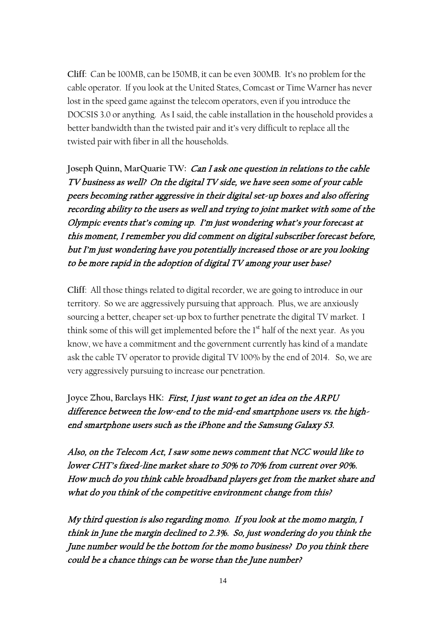**Cliff**: Can be 100MB, can be 150MB, it can be even 300MB. It's no problem for the cable operator. If you look at the United States, Comcast or Time Warner has never lost in the speed game against the telecom operators, even if you introduce the DOCSIS 3.0 or anything. As I said, the cable installation in the household provides a better bandwidth than the twisted pair and it's very difficult to replace all the twisted pair with fiber in all the households.

**Joseph Quinn, MarQuarie TW:** Can I ask one question in relations to the cable TV business as well? On the digital TV side, we have seen some of your cable peers becoming rather aggressive in their digital set-up boxes and also offering recording ability to the users as well and trying to joint market with some of the Olympic events that's coming up. I'm just wondering what's your forecast at this moment, I remember you did comment on digital subscriber forecast before, but I'm just wondering have you potentially increased those or are you looking to be more rapid in the adoption of digital TV among your user base?

**Cliff**: All those things related to digital recorder, we are going to introduce in our territory. So we are aggressively pursuing that approach. Plus, we are anxiously sourcing a better, cheaper set-up box to further penetrate the digital TV market. I think some of this will get implemented before the 1<sup>st</sup> half of the next year. As you know, we have a commitment and the government currently has kind of a mandate ask the cable TV operator to provide digital TV 100% by the end of 2014. So, we are very aggressively pursuing to increase our penetration.

**Joyce Zhou, Barclays HK:** First, I just want to get an idea on the ARPU difference between the low-end to the mid-end smartphone users vs. the highend smartphone users such as the iPhone and the Samsung Galaxy S3.

Also, on the Telecom Act, I saw some news comment that NCC would like to lower CHT's fixed-line market share to 50% to 70% from current over 90%. How much do you think cable broadband players get from the market share and what do you think of the competitive environment change from this?

My third question is also regarding momo. If you look at the momo margin, I think in June the margin declined to 2.3%. So, just wondering do you think the June number would be the bottom for the momo business? Do you think there could be a chance things can be worse than the June number?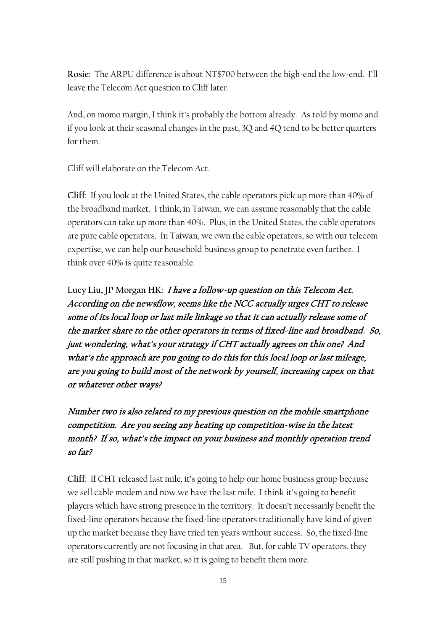**Rosie**: The ARPU difference is about NT\$700 between the high-end the low-end. I'll leave the Telecom Act question to Cliff later.

And, on momo margin, I think it's probably the bottom already. As told by momo and if you look at their seasonal changes in the past, 3Q and 4Q tend to be better quarters for them.

Cliff will elaborate on the Telecom Act.

**Cliff**: If you look at the United States, the cable operators pick up more than 40% of the broadband market. I think, in Taiwan, we can assume reasonably that the cable operators can take up more than 40%. Plus, in the United States, the cable operators are pure cable operators. In Taiwan, we own the cable operators, so with our telecom expertise, we can help our household business group to penetrate even further. I think over 40% is quite reasonable.

**Lucy Liu, JP Morgan HK:** I have a follow-up question on this Telecom Act. According on the newsflow, seems like the NCC actually urges CHT to release some of its local loop or last mile linkage so that it can actually release some of the market share to the other operators in terms of fixed-line and broadband. So, just wondering, what's your strategy if CHT actually agrees on this one? And what's the approach are you going to do this for this local loop or last mileage, are you going to build most of the network by yourself, increasing capex on that or whatever other ways?

Number two is also related to my previous question on the mobile smartphone competition. Are you seeing any heating up competition-wise in the latest month? If so, what's the impact on your business and monthly operation trend so far?

**Cliff**: If CHT released last mile, it's going to help our home business group because we sell cable modem and now we have the last mile. I think it's going to benefit players which have strong presence in the territory. It doesn't necessarily benefit the fixed-line operators because the fixed-line operators traditionally have kind of given up the market because they have tried ten years without success. So, the fixed-line operators currently are not focusing in that area. But, for cable TV operators, they are still pushing in that market, so it is going to benefit them more.